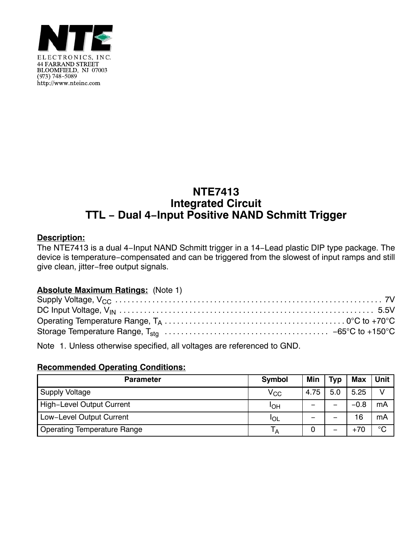

# **NTE7413 Integrated Circuit TTL − Dual 4−Input Positive NAND Schmitt Trigger**

### **Description:**

The NTE7413 is a dual 4−Input NAND Schmitt trigger in a 14−Lead plastic DIP type package. The device is temperature−compensated and can be triggered from the slowest of input ramps and still give clean, jitter−free output signals.

### **Absolute Maximum Ratings:** (Note 1)

Note 1. Unless otherwise specified, all voltages are referenced to GND.

## **Recommended Operating Conditions:**

| <b>Parameter</b>            | Symbol       | Min  | <b>Typ</b> | <b>Max</b> | <b>Unit</b> |
|-----------------------------|--------------|------|------------|------------|-------------|
| <b>Supply Voltage</b>       | $\rm V_{CC}$ | 4.75 | 5.0        | 5.25       | V           |
| High-Level Output Current   | IOH          |      | –          | $-0.8$     | mA          |
| Low-Level Output Current    | IOL          |      |            | 16         | mA          |
| Operating Temperature Range | Īд           |      | —          | $+70$      | $^{\circ}C$ |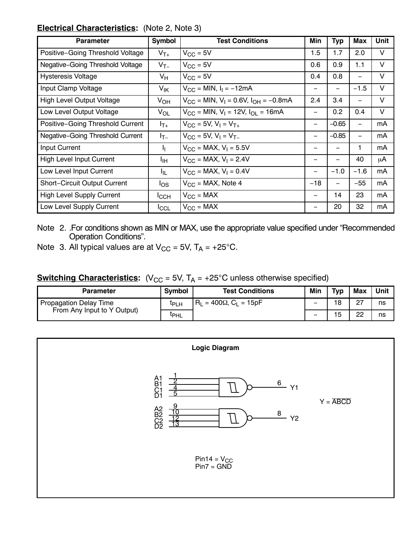### **Electrical Characteristics:** (Note 2, Note 3)

| <b>Parameter</b>                 | <b>Symbol</b>    | <b>Test Conditions</b>                          | Min               | <b>Typ</b>    | Max                      | <b>Unit</b> |
|----------------------------------|------------------|-------------------------------------------------|-------------------|---------------|--------------------------|-------------|
| Positive-Going Threshold Voltage | $V_{T+}$         | $V_{\rm CC} = 5V$                               | 1.5               | 1.7           | 2.0                      | V           |
| Negative-Going Threshold Voltage | $V_{T-}$         | $V_{\rm CC} = 5V$                               | 0.6               | 0.9           | 1.1                      | $\vee$      |
| <b>Hysteresis Voltage</b>        | $V_H$            | $V_{\rm GC}$ = 5V                               | 0.4               | 0.8           | —                        | V           |
| Input Clamp Voltage              | V <sub>IK</sub>  | $V_{CC} = MIN, I_1 = -12mA$                     |                   | —             | $-1.5$                   | V           |
| <b>High Level Output Voltage</b> | V <sub>OH</sub>  | $V_{CC}$ = MIN, $V_1$ = 0.6V, $I_{OH}$ = -0.8mA | 2.4               | 3.4           | $\overline{\phantom{m}}$ | V           |
| Low Level Output Voltage         | $V_{OL}$         | $V_{CC}$ = MIN, $V_1$ = 12V, $I_{OL}$ = 16mA    | -                 | $0.2^{\circ}$ | 0.4                      | V           |
| Positive-Going Threshold Current | $I_{T+}$         | $V_{CC}$ = 5V, $V_1 = V_{T+}$                   | -                 | $-0.65$       | $\overline{\phantom{0}}$ | mA          |
| Negative-Going Threshold Current | $I_{T-}$         | $V_{CC}$ = 5V, $V_1$ = $V_{T-}$                 | $\qquad \qquad -$ | $-0.85$       | $\qquad \qquad -$        | mA          |
| Input Current                    | Ч.               | $V_{CC}$ = MAX, $V_1$ = 5.5V                    |                   |               | 1                        | mA          |
| <b>High Level Input Current</b>  | Iщ               | $V_{CC}$ = MAX, $V_1$ = 2.4V                    |                   | -             | 40                       | μA          |
| Low Level Input Current          | ŀμ               | $V_{CC}$ = MAX, $V_1$ = 0.4V                    |                   | $-1.0$        | $-1.6$                   | mA          |
| Short-Circuit Output Current     | $I_{OS}$         | $V_{CC}$ = MAX, Note 4                          | $-18$             | —             | $-55$                    | mA          |
| <b>High Level Supply Current</b> | $I_{\text{CCH}}$ | $V_{CC}$ = MAX                                  |                   | 14            | 23                       | mA          |
| Low Level Supply Current         | <b>I</b> CCL     | $V_{CC}$ = MAX                                  |                   | 20            | 32                       | mA          |

Note 2. .For conditions shown as MIN or MAX, use the appropriate value specified under "Recommended Operation Conditions".

Note 3. All typical values are at  $V_{CC} = 5V$ ,  $T_A = +25^{\circ}C$ .

## **Switching Characteristics:** ( $V_{CC}$  = 5V,  $T_A$  = +25°C unless otherwise specified)

| <b>Parameter</b>            | <b>Symbol</b>    | <b>Test Conditions</b>        | Min | Typ | Max            | Unit |
|-----------------------------|------------------|-------------------------------|-----|-----|----------------|------|
| Propagation Delay Time      | <sup>I</sup> PLH | = 400Ω, C <sub>l</sub> = 15pF | -   | 18  | 27<br><u>_</u> | ns   |
| From Any Input to Y Output) | <sup>I</sup> PHL |                               | -   | 5   | 22             | ns   |